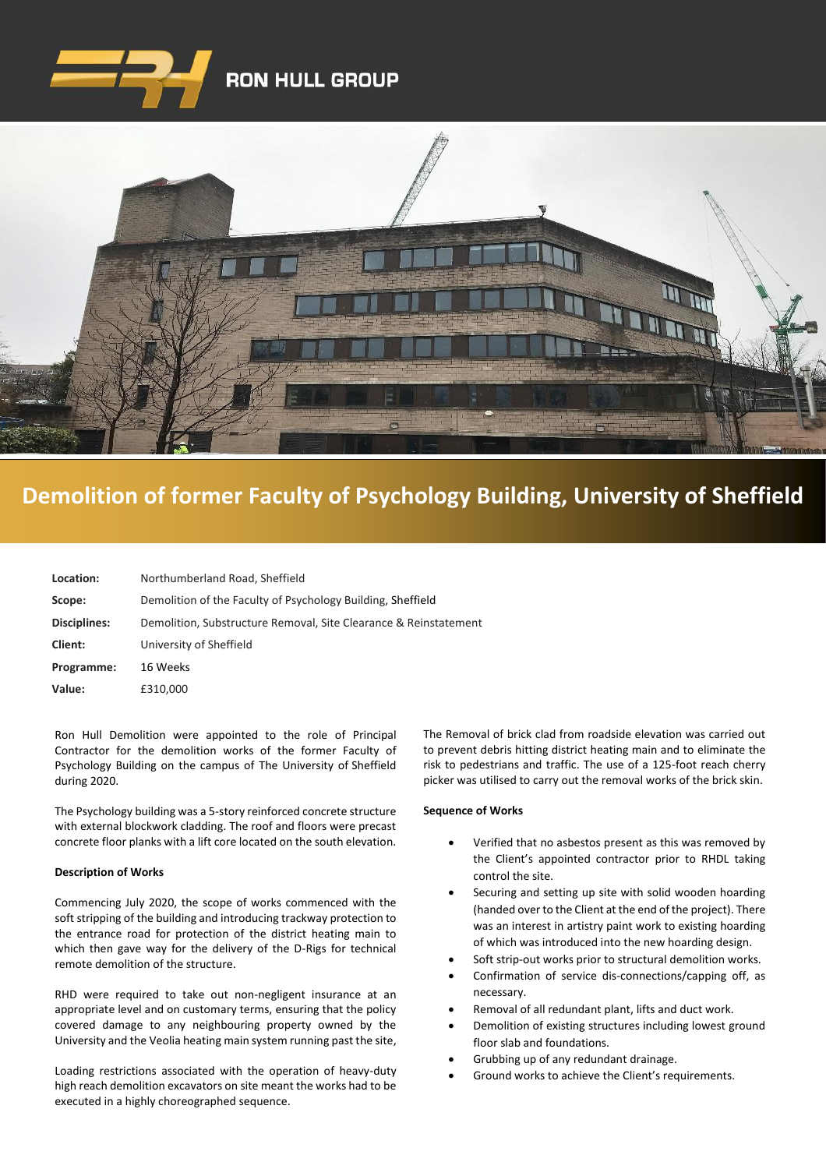



## **De[molition of former Faculty of Psychology Building, University of Sheffield](https://www.google.co.uk/imgres?imgurl=http%3A%2F%2Fwww.clenergy.co.uk%2FImageGen.ashx%3Fimage%3D%2Fmedia%2F1044%2Fcredit-solutia-2009-looking-south-4mb.jpg%26width%3D568%26height%3D320&imgrefurl=http%3A%2F%2Fwww.clenergy.co.uk%2Fprojects%2Fsolutia%2F&docid=l4QIaOP_OnRHZM&tbnid=A2rf481aMiEi8M%3A&vet=10ahUKEwie4JWq6srkAhX6SxUIHaTaDYwQMwg_KAEwAQ..i&w=568&h=320&bih=575&biw=1280&q=eastman%20chemical%20plant%20newport%20wales&ved=0ahUKEwie4JWq6srkAhX6SxUIHaTaDYwQMwg_KAEwAQ&iact=mrc&uact=8)**

| Location:    | Northumberland Road, Sheffield                                   |
|--------------|------------------------------------------------------------------|
| Scope:       | Demolition of the Faculty of Psychology Building, Sheffield      |
| Disciplines: | Demolition, Substructure Removal, Site Clearance & Reinstatement |
| Client:      | University of Sheffield                                          |
| Programme:   | 16 Weeks                                                         |
| Value:       | £310,000                                                         |

Ron Hull Demolition were appointed to the role of Principal Contractor for the demolition works of the former Faculty of Psychology Building on the campus of The University of [Sheffield](https://www.hughesandsalvidge.co.uk/demolition-contractors-berkshire/)  [during 2020.](https://www.hughesandsalvidge.co.uk/demolition-contractors-berkshire/) 

The Psychology building was a 5-story reinforced concrete structure with external blockwork cladding. The roof and floors were precast concrete floor planks with a lift core located on the south elevation.

## **Description of Works**

Commencing July 2020, the scope of works commenced with the soft stripping of the building and introducing trackway protection to the entrance road for protection of the district heating main to which then gave way for the delivery of the D-Rigs for technical remote demolition of the structure.

RHD were required to take out non-negligent insurance at an appropriate level and on customary terms, ensuring that the policy covered damage to any neighbouring property owned by the University and the Veolia heating main system running past the site,

Loading restrictions associated with the operation of heavy-duty high reach demolition excavators on site meant the works had to be executed in a highly choreographed sequence.

The Removal of brick clad from roadside elevation was carried out to prevent debris hitting district heating main and to eliminate the risk to pedestrians and traffic. The use of a 125-foot reach cherry picker was utilised to carry out the removal works of the brick skin.

## **Sequence of Works**

- Verified that no asbestos present as this was removed by the Client's appointed contractor prior to RHDL taking control the site.
- Securing and setting up site with solid wooden hoarding (handed over to the Client at the end of the project). There was an interest in artistry paint work to existing hoarding of which was introduced into the new hoarding design.
- Soft strip-out works prior to structural demolition works.
- Confirmation of service dis-connections/capping off, as necessary.
- Removal of all redundant plant, lifts and duct work.
- Demolition of existing structures including lowest ground floor slab and foundations.
- Grubbing up of any redundant drainage.
- Ground works to achieve the Client's requirements.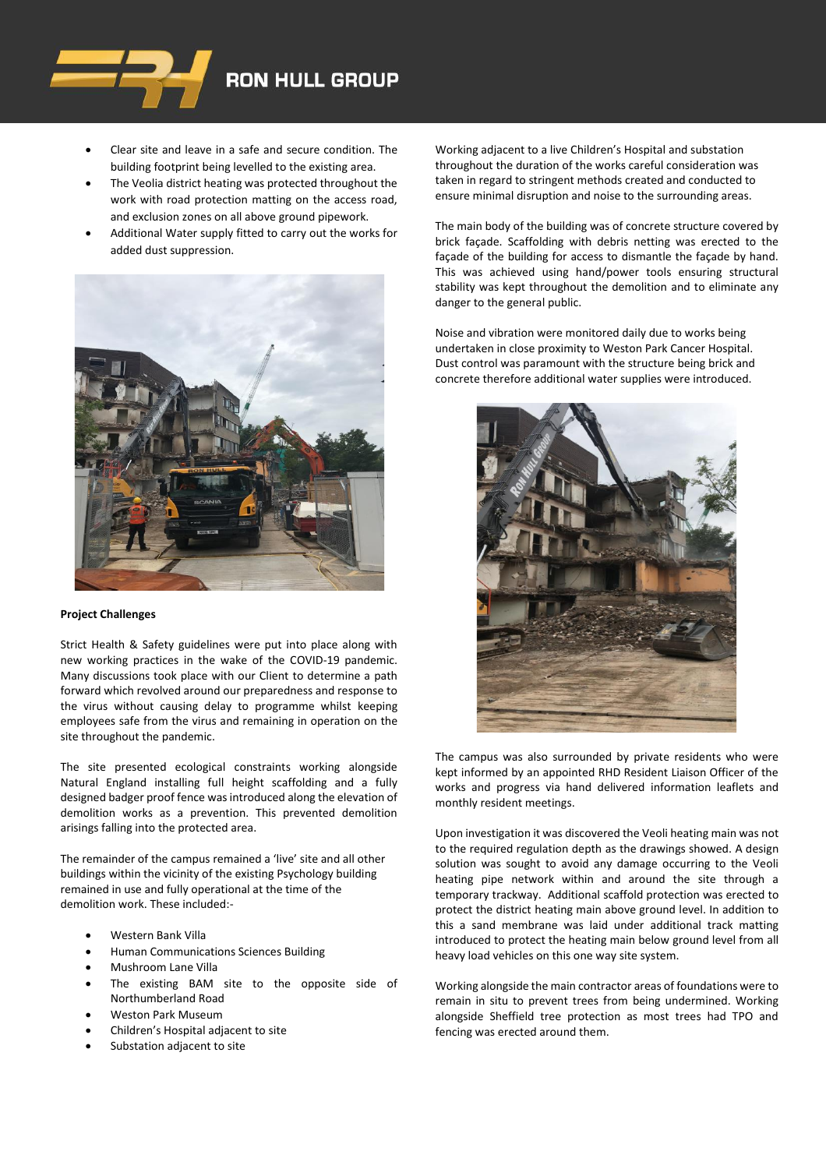

- Clear site and leave in a safe and secure condition. The building footprint being levelled to the existing area.
- The Veolia district heating was protected throughout the work with road protection matting on the access road, and exclusion zones on all above ground pipework.
- Additional Water supply fitted to carry out the works for added dust suppression.



## **Project Challenges**

Strict Health & Safety guidelines were put into place along with new working practices in the wake of the COVID-19 pandemic. Many discussions took place with our Client to determine a path forward which revolved around our preparedness and response to the virus without causing delay to programme whilst keeping employees safe from the virus and remaining in operation on the site throughout the pandemic.

The site presented ecological constraints working alongside Natural England installing full height scaffolding and a fully designed badger proof fence was introduced along the elevation of demolition works as a prevention. This prevented demolition arisings falling into the protected area.

The remainder of the campus remained a 'live' site and all other buildings within the vicinity of the existing Psychology building remained in use and fully operational at the time of the demolition work. These included:-

- Western Bank Villa
- Human Communications Sciences Building
- Mushroom Lane Villa
- The existing BAM site to the opposite side of Northumberland Road
- Weston Park Museum
- Children's Hospital adjacent to site
- Substation adjacent to site

Working adjacent to a live Children's Hospital and substation throughout the duration of the works careful consideration was taken in regard to stringent methods created and conducted to ensure minimal disruption and noise to the surrounding areas.

The main body of the building was of concrete structure covered by brick façade. Scaffolding with debris netting was erected to the façade of the building for access to dismantle the façade by hand. This was achieved using hand/power tools ensuring structural stability was kept throughout the demolition and to eliminate any danger to the general public.

Noise and vibration were monitored daily due to works being undertaken in close proximity to Weston Park Cancer Hospital. Dust control was paramount with the structure being brick and concrete therefore additional water supplies were introduced.



The campus was also surrounded by private residents who were kept informed by an appointed RHD Resident Liaison Officer of the works and progress via hand delivered information leaflets and monthly resident meetings.

Upon investigation it was discovered the Veoli heating main was not to the required regulation depth as the drawings showed. A design solution was sought to avoid any damage occurring to the Veoli heating pipe network within and around the site through a temporary trackway. Additional scaffold protection was erected to protect the district heating main above ground level. In addition to this a sand membrane was laid under additional track matting introduced to protect the heating main below ground level from all heavy load vehicles on this one way site system.

Working alongside the main contractor areas of foundations were to remain in situ to prevent trees from being undermined. Working alongside Sheffield tree protection as most trees had TPO and fencing was erected around them.